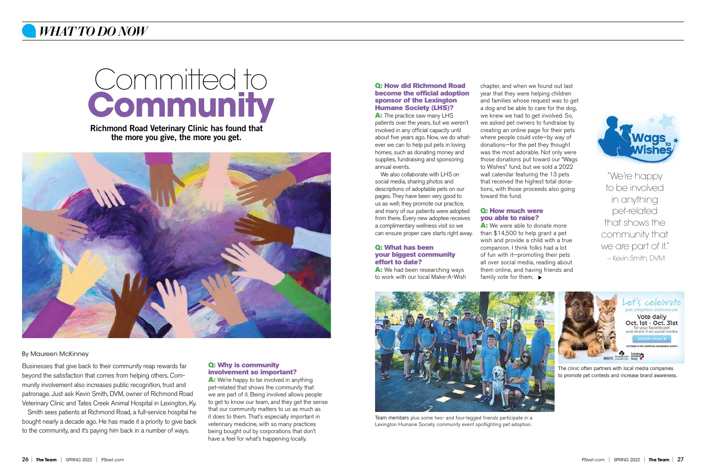#### Q: How did Richmond Road become the official adoption sponsor of the Lexington Humane Society (LHS)?

A: The practice saw many LHS patients over the years, but we weren't involved in any official capacity until about five years ago. Now, we do whatever we can to help put pets in loving homes, such as donating money and supplies, fundraising and sponsoring annual events.

A: We had been researching ways to work with our local Make-A-Wish

We also collaborate with LHS on social media, sharing photos and descriptions of adoptable pets on our pages. They have been very good to us as well; they promote our practice, and many of our patients were adopted from there. Every new adoptee receives a complimentary wellness visit so we can ensure proper care starts right away.

#### Q: What has been your biggest community effort to date?

chapter, and when we found out last year that they were helping children and families whose request was to get a dog and be able to care for the dog, we knew we had to get involved. So, we asked pet owners to fundraise by creating an online page for their pets where people could vote—by way of donations—for the pet they thought was the most adorable. Not only were those donations put toward our "Wags to Wishes" fund, but we sold a 2022 wall calendar featuring the 13 pets that received the highest total donations, with those proceeds also going toward the fund.

"We're happy to be involved in anything pet-related that shows the community that we are part of it." - Kevin Smith, DVM

#### Q: How much were you able to raise?

A: We were able to donate more than \$14,500 to help grant a pet wish and provide a child with a true companion. I think folks had a lot of fun with it—promoting their pets all over social media, reading about them online, and having friends and family vote for them.  $\blacktriangleright$ 

A: We're happy to be involved in anything pet-related that shows the community that we are part of it. Being involved allows people to get to know our team, and they get the sense that our community matters to us as much as it does to them. That's especially important in veterinary medicine, with so many practices being bought out by corporations that don't have a feel for what's happening locally.



Richmond Road Veterinary Clinic has found that the more you give, the more you get.





## *WHAT TO DO NOW*

Businesses that give back to their community reap rewards far beyond the satisfaction that comes from helping others. Community involvement also increases public recognition, trust and patronage. Just ask Kevin Smith, DVM, owner of Richmond Road Veterinary Clinic and Tates Creek Animal Hospital in Lexington, Ky.

Smith sees patients at Richmond Road, a full-service hospital he bought nearly a decade ago. He has made it a priority to give back to the community, and it's paying him back in a number of ways.



Team members plus some two- and four-legged friends participate in a Lexington Humane Society community event spotlighting pet adoption.

#### By Maureen McKinney

#### Q: Why is community involvement so important?